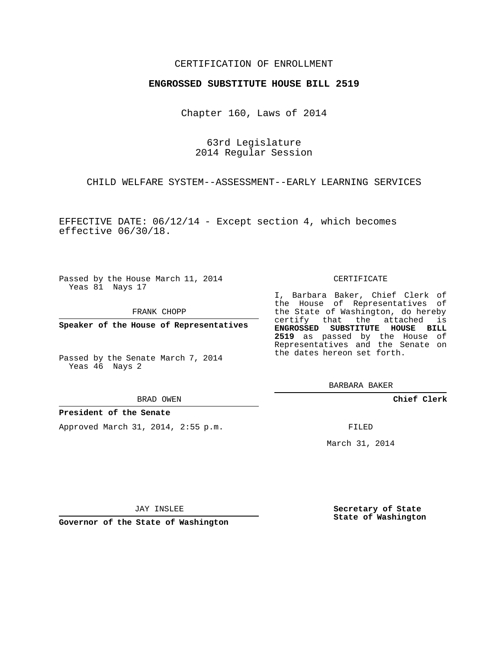### CERTIFICATION OF ENROLLMENT

#### **ENGROSSED SUBSTITUTE HOUSE BILL 2519**

Chapter 160, Laws of 2014

63rd Legislature 2014 Regular Session

CHILD WELFARE SYSTEM--ASSESSMENT--EARLY LEARNING SERVICES

EFFECTIVE DATE:  $06/12/14$  - Except section 4, which becomes effective 06/30/18.

Passed by the House March 11, 2014 Yeas 81 Nays 17

FRANK CHOPP

**Speaker of the House of Representatives**

Passed by the Senate March 7, 2014 Yeas 46 Nays 2

BRAD OWEN

#### **President of the Senate**

Approved March 31, 2014, 2:55 p.m.

CERTIFICATE

I, Barbara Baker, Chief Clerk of the House of Representatives of the State of Washington, do hereby certify that the attached is **ENGROSSED SUBSTITUTE HOUSE BILL 2519** as passed by the House of Representatives and the Senate on the dates hereon set forth.

BARBARA BAKER

**Chief Clerk**

FILED

March 31, 2014

JAY INSLEE

**Governor of the State of Washington**

**Secretary of State State of Washington**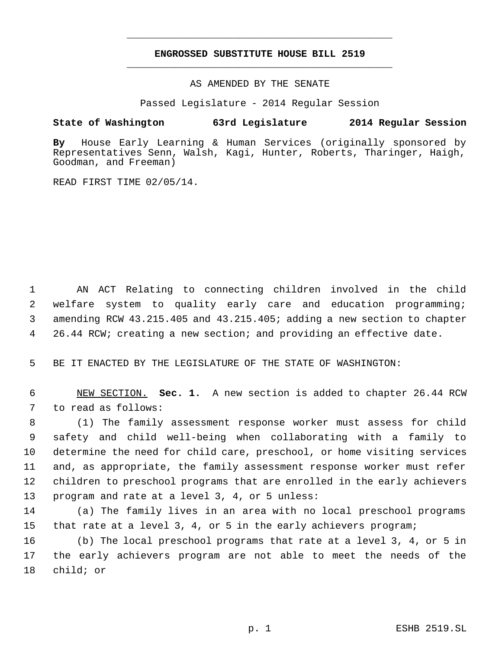# **ENGROSSED SUBSTITUTE HOUSE BILL 2519** \_\_\_\_\_\_\_\_\_\_\_\_\_\_\_\_\_\_\_\_\_\_\_\_\_\_\_\_\_\_\_\_\_\_\_\_\_\_\_\_\_\_\_\_\_

\_\_\_\_\_\_\_\_\_\_\_\_\_\_\_\_\_\_\_\_\_\_\_\_\_\_\_\_\_\_\_\_\_\_\_\_\_\_\_\_\_\_\_\_\_

AS AMENDED BY THE SENATE

Passed Legislature - 2014 Regular Session

## **State of Washington 63rd Legislature 2014 Regular Session**

**By** House Early Learning & Human Services (originally sponsored by Representatives Senn, Walsh, Kagi, Hunter, Roberts, Tharinger, Haigh, Goodman, and Freeman)

READ FIRST TIME 02/05/14.

 AN ACT Relating to connecting children involved in the child welfare system to quality early care and education programming; amending RCW 43.215.405 and 43.215.405; adding a new section to chapter 26.44 RCW; creating a new section; and providing an effective date.

BE IT ENACTED BY THE LEGISLATURE OF THE STATE OF WASHINGTON:

 NEW SECTION. **Sec. 1.** A new section is added to chapter 26.44 RCW to read as follows:

 (1) The family assessment response worker must assess for child safety and child well-being when collaborating with a family to determine the need for child care, preschool, or home visiting services and, as appropriate, the family assessment response worker must refer children to preschool programs that are enrolled in the early achievers program and rate at a level 3, 4, or 5 unless:

 (a) The family lives in an area with no local preschool programs that rate at a level 3, 4, or 5 in the early achievers program;

 (b) The local preschool programs that rate at a level 3, 4, or 5 in the early achievers program are not able to meet the needs of the child; or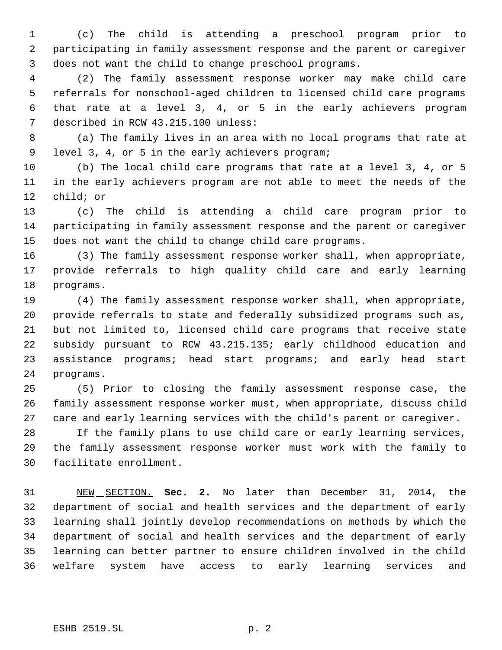(c) The child is attending a preschool program prior to participating in family assessment response and the parent or caregiver does not want the child to change preschool programs.

 (2) The family assessment response worker may make child care referrals for nonschool-aged children to licensed child care programs that rate at a level 3, 4, or 5 in the early achievers program described in RCW 43.215.100 unless:

 (a) The family lives in an area with no local programs that rate at level 3, 4, or 5 in the early achievers program;

 (b) The local child care programs that rate at a level 3, 4, or 5 in the early achievers program are not able to meet the needs of the child; or

 (c) The child is attending a child care program prior to participating in family assessment response and the parent or caregiver does not want the child to change child care programs.

 (3) The family assessment response worker shall, when appropriate, provide referrals to high quality child care and early learning programs.

 (4) The family assessment response worker shall, when appropriate, provide referrals to state and federally subsidized programs such as, but not limited to, licensed child care programs that receive state subsidy pursuant to RCW 43.215.135; early childhood education and assistance programs; head start programs; and early head start programs.

 (5) Prior to closing the family assessment response case, the family assessment response worker must, when appropriate, discuss child care and early learning services with the child's parent or caregiver.

 If the family plans to use child care or early learning services, the family assessment response worker must work with the family to facilitate enrollment.

 NEW SECTION. **Sec. 2.** No later than December 31, 2014, the department of social and health services and the department of early learning shall jointly develop recommendations on methods by which the department of social and health services and the department of early learning can better partner to ensure children involved in the child welfare system have access to early learning services and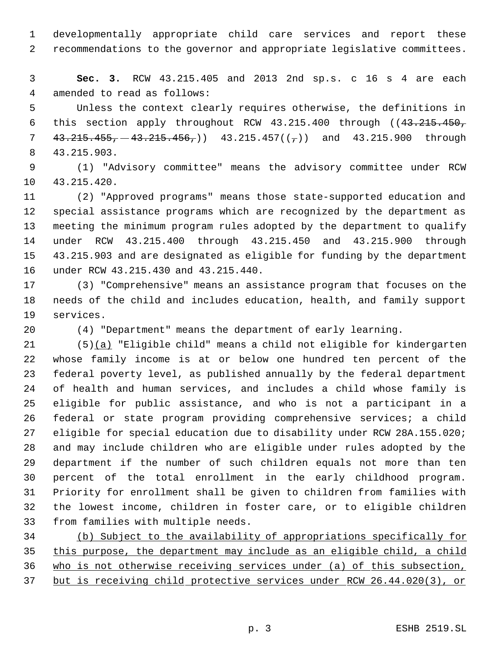developmentally appropriate child care services and report these recommendations to the governor and appropriate legislative committees.

 **Sec. 3.** RCW 43.215.405 and 2013 2nd sp.s. c 16 s 4 are each amended to read as follows:

 Unless the context clearly requires otherwise, the definitions in 6 this section apply throughout RCW 43.215.400 through ((43.215.450,  $43.215.455, -43.215.456,$  43.215.457(( $\tau$ )) and 43.215.900 through 43.215.903.

 (1) "Advisory committee" means the advisory committee under RCW 43.215.420.

 (2) "Approved programs" means those state-supported education and special assistance programs which are recognized by the department as meeting the minimum program rules adopted by the department to qualify under RCW 43.215.400 through 43.215.450 and 43.215.900 through 43.215.903 and are designated as eligible for funding by the department under RCW 43.215.430 and 43.215.440.

 (3) "Comprehensive" means an assistance program that focuses on the needs of the child and includes education, health, and family support services.

(4) "Department" means the department of early learning.

 (5)(a) "Eligible child" means a child not eligible for kindergarten whose family income is at or below one hundred ten percent of the federal poverty level, as published annually by the federal department of health and human services, and includes a child whose family is eligible for public assistance, and who is not a participant in a federal or state program providing comprehensive services; a child eligible for special education due to disability under RCW 28A.155.020; and may include children who are eligible under rules adopted by the department if the number of such children equals not more than ten percent of the total enrollment in the early childhood program. Priority for enrollment shall be given to children from families with the lowest income, children in foster care, or to eligible children from families with multiple needs.

 (b) Subject to the availability of appropriations specifically for this purpose, the department may include as an eligible child, a child who is not otherwise receiving services under (a) of this subsection, but is receiving child protective services under RCW 26.44.020(3), or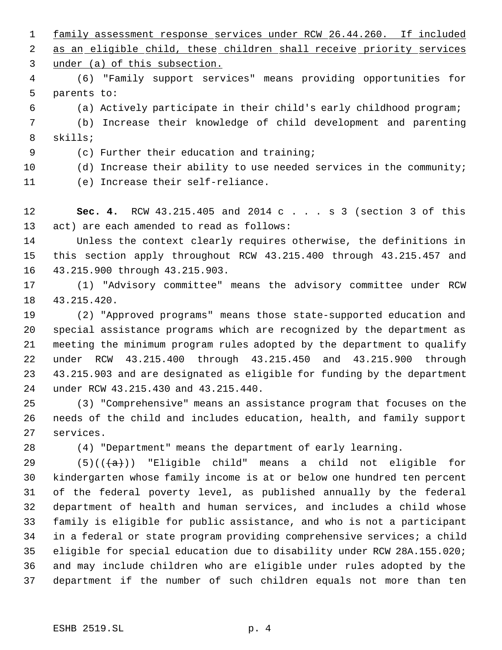family assessment response services under RCW 26.44.260. If included 2 as an eligible child, these children shall receive priority services under (a) of this subsection.

 (6) "Family support services" means providing opportunities for parents to:

(a) Actively participate in their child's early childhood program;

 (b) Increase their knowledge of child development and parenting skills;

(c) Further their education and training;

(d) Increase their ability to use needed services in the community;

(e) Increase their self-reliance.

 **Sec. 4.** RCW 43.215.405 and 2014 c . . . s 3 (section 3 of this act) are each amended to read as follows:

 Unless the context clearly requires otherwise, the definitions in this section apply throughout RCW 43.215.400 through 43.215.457 and 43.215.900 through 43.215.903.

 (1) "Advisory committee" means the advisory committee under RCW 43.215.420.

 (2) "Approved programs" means those state-supported education and special assistance programs which are recognized by the department as meeting the minimum program rules adopted by the department to qualify under RCW 43.215.400 through 43.215.450 and 43.215.900 through 43.215.903 and are designated as eligible for funding by the department under RCW 43.215.430 and 43.215.440.

 (3) "Comprehensive" means an assistance program that focuses on the needs of the child and includes education, health, and family support services.

(4) "Department" means the department of early learning.

29 (5) $((a))$  "Eligible child" means a child not eligible for kindergarten whose family income is at or below one hundred ten percent of the federal poverty level, as published annually by the federal department of health and human services, and includes a child whose family is eligible for public assistance, and who is not a participant in a federal or state program providing comprehensive services; a child eligible for special education due to disability under RCW 28A.155.020; and may include children who are eligible under rules adopted by the department if the number of such children equals not more than ten